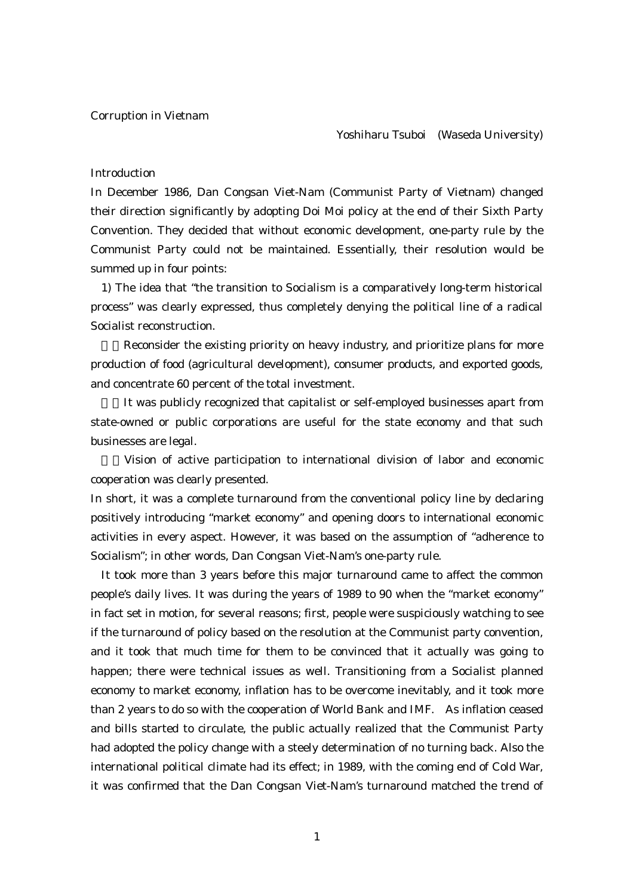## Corruption in Vietnam

#### Yoshiharu Tsuboi (Waseda University)

## Introduction

In December 1986, Dan Congsan Viet-Nam (Communist Party of Vietnam) changed their direction significantly by adopting Doi Moi policy at the end of their Sixth Party Convention. They decided that without economic development, one-party rule by the Communist Party could not be maintained. Essentially, their resolution would be summed up in four points:

1) The idea that "the transition to Socialism is a comparatively long-term historical process" was clearly expressed, thus completely denying the political line of a radical Socialist reconstruction.

Reconsider the existing priority on heavy industry, and prioritize plans for more production of food (agricultural development), consumer products, and exported goods, and concentrate 60 percent of the total investment.

It was publicly recognized that capitalist or self-employed businesses apart from state-owned or public corporations are useful for the state economy and that such businesses are legal.

4)Vision of active participation to international division of labor and economic cooperation was clearly presented.

In short, it was a complete turnaround from the conventional policy line by declaring positively introducing "market economy" and opening doors to international economic activities in every aspect. However, it was based on the assumption of "adherence to Socialism"; in other words, Dan Congsan Viet-Nam's one-party rule.

It took more than 3 years before this major turnaround came to affect the common people's daily lives. It was during the years of 1989 to 90 when the "market economy" in fact set in motion, for several reasons; first, people were suspiciously watching to see if the turnaround of policy based on the resolution at the Communist party convention, and it took that much time for them to be convinced that it actually was going to happen; there were technical issues as well. Transitioning from a Socialist planned economy to market economy, inflation has to be overcome inevitably, and it took more than 2 years to do so with the cooperation of World Bank and IMF. As inflation ceased and bills started to circulate, the public actually realized that the Communist Party had adopted the policy change with a steely determination of no turning back. Also the international political climate had its effect; in 1989, with the coming end of Cold War, it was confirmed that the Dan Congsan Viet-Nam's turnaround matched the trend of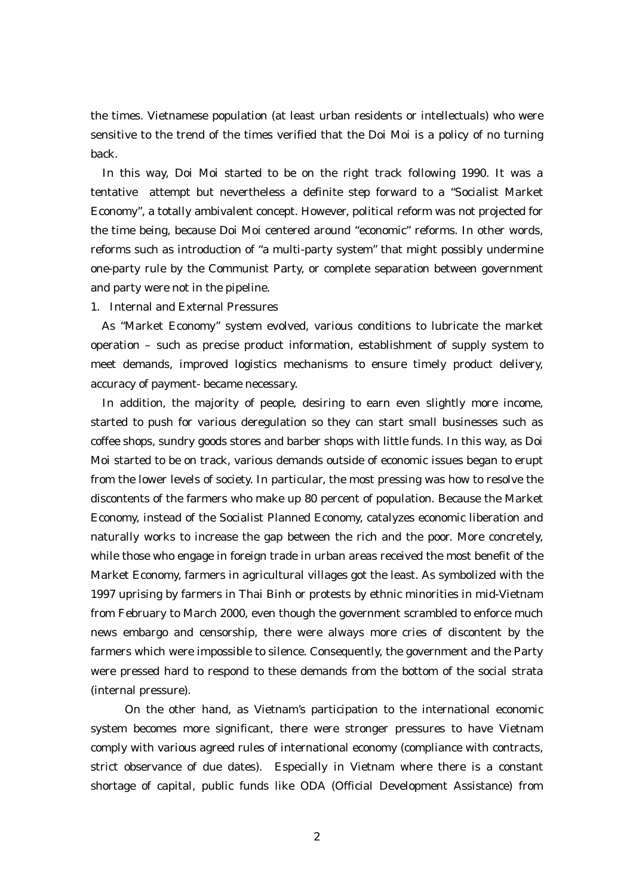the times. Vietnamese population (at least urban residents or intellectuals) who were sensitive to the trend of the times verified that the Doi Moi is a policy of no turning back.

In this way, Doi Moi started to be on the right track following 1990. It was a tentative attempt but nevertheless a definite step forward to a "Socialist Market Economy", a totally ambivalent concept. However, political reform was not projected for the time being, because Doi Moi centered around "economic" reforms. In other words, reforms such as introduction of "a multi-party system" that might possibly undermine one-party rule by the Communist Party, or complete separation between government and party were not in the pipeline.

1. Internal and External Pressures

As "Market Economy" system evolved, various conditions to lubricate the market operation – such as precise product information, establishment of supply system to meet demands, improved logistics mechanisms to ensure timely product delivery, accuracy of payment- became necessary.

In addition, the majority of people, desiring to earn even slightly more income, started to push for various deregulation so they can start small businesses such as coffee shops, sundry goods stores and barber shops with little funds. In this way, as Doi Moi started to be on track, various demands outside of economic issues began to erupt from the lower levels of society. In particular, the most pressing was how to resolve the discontents of the farmers who make up 80 percent of population. Because the Market Economy, instead of the Socialist Planned Economy, catalyzes economic liberation and naturally works to increase the gap between the rich and the poor. More concretely, while those who engage in foreign trade in urban areas received the most benefit of the Market Economy, farmers in agricultural villages got the least. As symbolized with the 1997 uprising by farmers in Thai Binh or protests by ethnic minorities in mid-Vietnam from February to March 2000, even though the government scrambled to enforce much news embargo and censorship, there were always more cries of discontent by the farmers which were impossible to silence. Consequently, the government and the Party were pressed hard to respond to these demands from the bottom of the social strata (internal pressure).

 On the other hand, as Vietnam's participation to the international economic system becomes more significant, there were stronger pressures to have Vietnam comply with various agreed rules of international economy (compliance with contracts, strict observance of due dates). Especially in Vietnam where there is a constant shortage of capital, public funds like ODA (Official Development Assistance) from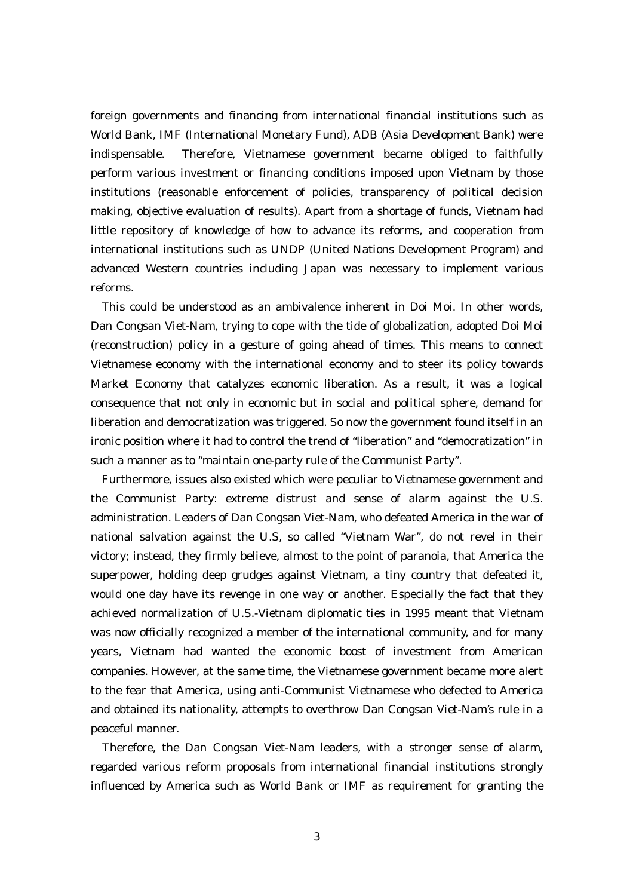foreign governments and financing from international financial institutions such as World Bank, IMF (International Monetary Fund), ADB (Asia Development Bank) were indispensable. Therefore, Vietnamese government became obliged to faithfully perform various investment or financing conditions imposed upon Vietnam by those institutions (reasonable enforcement of policies, transparency of political decision making, objective evaluation of results). Apart from a shortage of funds, Vietnam had little repository of knowledge of how to advance its reforms, and cooperation from international institutions such as UNDP (United Nations Development Program) and advanced Western countries including Japan was necessary to implement various reforms.

This could be understood as an ambivalence inherent in Doi Moi. In other words, Dan Congsan Viet-Nam, trying to cope with the tide of globalization, adopted Doi Moi (reconstruction) policy in a gesture of going ahead of times. This means to connect Vietnamese economy with the international economy and to steer its policy towards Market Economy that catalyzes economic liberation. As a result, it was a logical consequence that not only in economic but in social and political sphere, demand for liberation and democratization was triggered. So now the government found itself in an ironic position where it had to control the trend of "liberation" and "democratization" in such a manner as to "maintain one-party rule of the Communist Party".

Furthermore, issues also existed which were peculiar to Vietnamese government and the Communist Party: extreme distrust and sense of alarm against the U.S. administration. Leaders of Dan Congsan Viet-Nam, who defeated America in the war of national salvation against the U.S, so called "Vietnam War", do not revel in their victory; instead, they firmly believe, almost to the point of paranoia, that America the superpower, holding deep grudges against Vietnam, a tiny country that defeated it, would one day have its revenge in one way or another. Especially the fact that they achieved normalization of U.S.-Vietnam diplomatic ties in 1995 meant that Vietnam was now officially recognized a member of the international community, and for many years, Vietnam had wanted the economic boost of investment from American companies. However, at the same time, the Vietnamese government became more alert to the fear that America, using anti-Communist Vietnamese who defected to America and obtained its nationality, attempts to overthrow Dan Congsan Viet-Nam's rule in a peaceful manner.

Therefore, the Dan Congsan Viet-Nam leaders, with a stronger sense of alarm, regarded various reform proposals from international financial institutions strongly influenced by America such as World Bank or IMF as requirement for granting the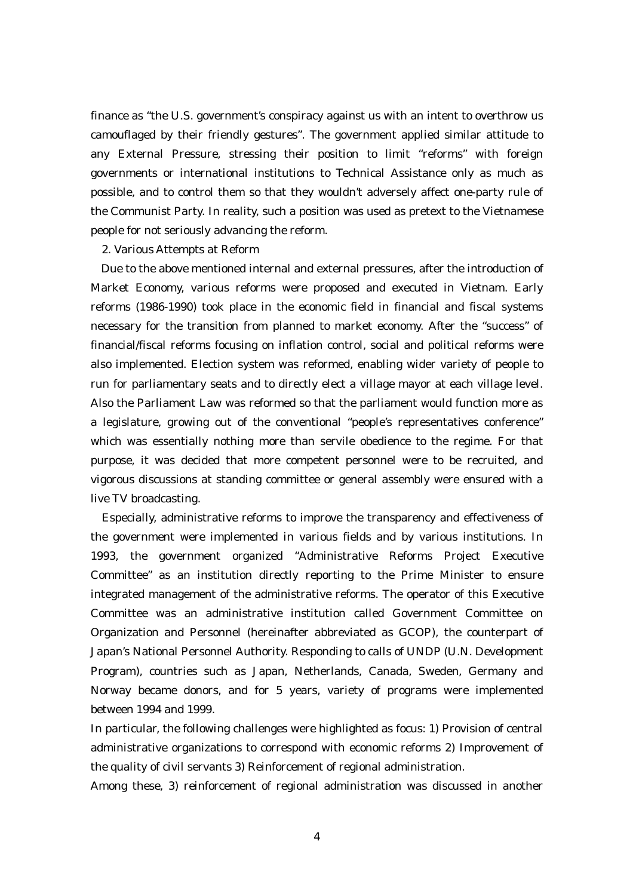finance as "the U.S. government's conspiracy against us with an intent to overthrow us camouflaged by their friendly gestures". The government applied similar attitude to any External Pressure, stressing their position to limit "reforms" with foreign governments or international institutions to Technical Assistance only as much as possible, and to control them so that they wouldn't adversely affect one-party rule of the Communist Party. In reality, such a position was used as pretext to the Vietnamese people for not seriously advancing the reform.

## 2. Various Attempts at Reform

Due to the above mentioned internal and external pressures, after the introduction of Market Economy, various reforms were proposed and executed in Vietnam. Early reforms (1986-1990) took place in the economic field in financial and fiscal systems necessary for the transition from planned to market economy. After the "success" of financial/fiscal reforms focusing on inflation control, social and political reforms were also implemented. Election system was reformed, enabling wider variety of people to run for parliamentary seats and to directly elect a village mayor at each village level. Also the Parliament Law was reformed so that the parliament would function more as a legislature, growing out of the conventional "people's representatives conference" which was essentially nothing more than servile obedience to the regime. For that purpose, it was decided that more competent personnel were to be recruited, and vigorous discussions at standing committee or general assembly were ensured with a live TV broadcasting.

Especially, administrative reforms to improve the transparency and effectiveness of the government were implemented in various fields and by various institutions. In 1993, the government organized "Administrative Reforms Project Executive Committee" as an institution directly reporting to the Prime Minister to ensure integrated management of the administrative reforms. The operator of this Executive Committee was an administrative institution called Government Committee on Organization and Personnel (hereinafter abbreviated as GCOP), the counterpart of Japan's National Personnel Authority. Responding to calls of UNDP (U.N. Development Program), countries such as Japan, Netherlands, Canada, Sweden, Germany and Norway became donors, and for 5 years, variety of programs were implemented between 1994 and 1999.

In particular, the following challenges were highlighted as focus: 1) Provision of central administrative organizations to correspond with economic reforms 2) Improvement of the quality of civil servants 3) Reinforcement of regional administration.

Among these, 3) reinforcement of regional administration was discussed in another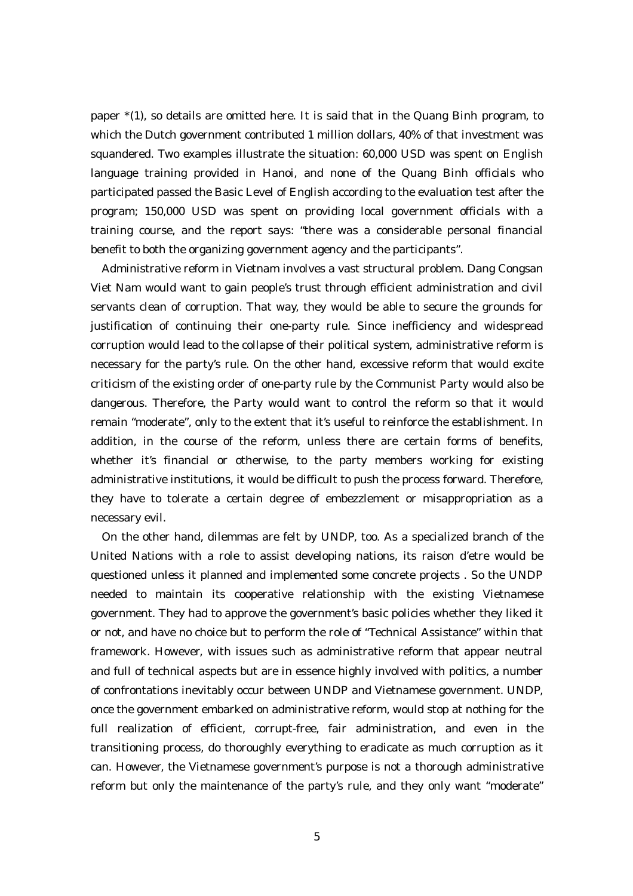paper \*(1), so details are omitted here. It is said that in the Quang Binh program, to which the Dutch government contributed 1 million dollars, 40% of that investment was squandered. Two examples illustrate the situation: 60,000 USD was spent on English language training provided in Hanoi, and none of the Quang Binh officials who participated passed the Basic Level of English according to the evaluation test after the program; 150,000 USD was spent on providing local government officials with a training course, and the report says: "there was a considerable personal financial benefit to both the organizing government agency and the participants".

Administrative reform in Vietnam involves a vast structural problem. Dang Congsan Viet Nam would want to gain people's trust through efficient administration and civil servants clean of corruption. That way, they would be able to secure the grounds for justification of continuing their one-party rule. Since inefficiency and widespread corruption would lead to the collapse of their political system, administrative reform is necessary for the party's rule. On the other hand, excessive reform that would excite criticism of the existing order of one-party rule by the Communist Party would also be dangerous. Therefore, the Party would want to control the reform so that it would remain "moderate", only to the extent that it's useful to reinforce the establishment. In addition, in the course of the reform, unless there are certain forms of benefits, whether it's financial or otherwise, to the party members working for existing administrative institutions, it would be difficult to push the process forward. Therefore, they have to tolerate a certain degree of embezzlement or misappropriation as a necessary evil.

On the other hand, dilemmas are felt by UNDP, too. As a specialized branch of the United Nations with a role to assist developing nations, its raison d'etre would be questioned unless it planned and implemented some concrete projects . So the UNDP needed to maintain its cooperative relationship with the existing Vietnamese government. They had to approve the government's basic policies whether they liked it or not, and have no choice but to perform the role of "Technical Assistance" within that framework. However, with issues such as administrative reform that appear neutral and full of technical aspects but are in essence highly involved with politics, a number of confrontations inevitably occur between UNDP and Vietnamese government. UNDP, once the government embarked on administrative reform, would stop at nothing for the full realization of efficient, corrupt-free, fair administration, and even in the transitioning process, do thoroughly everything to eradicate as much corruption as it can. However, the Vietnamese government's purpose is not a thorough administrative reform but only the maintenance of the party's rule, and they only want "moderate"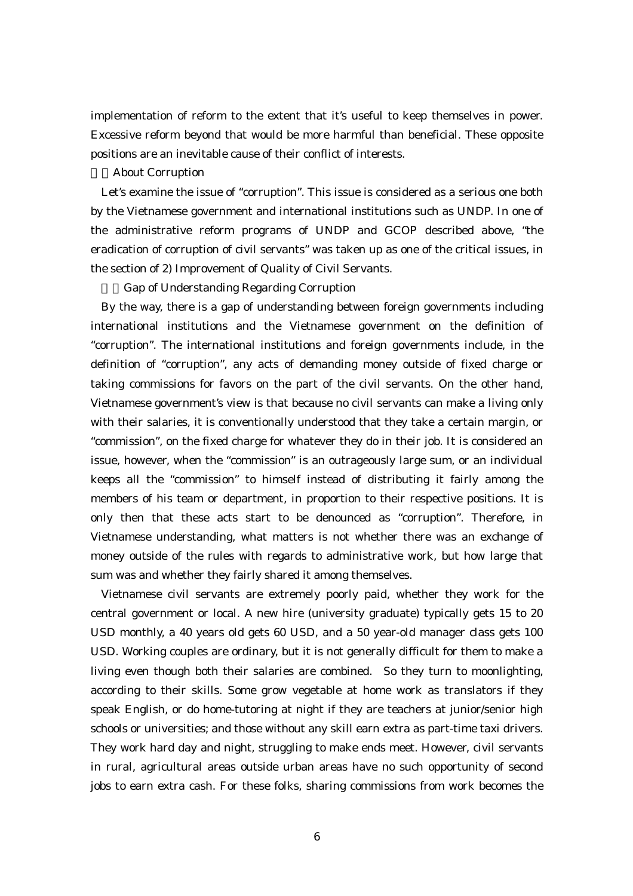implementation of reform to the extent that it's useful to keep themselves in power. Excessive reform beyond that would be more harmful than beneficial. These opposite positions are an inevitable cause of their conflict of interests.

#### About Corruption

Let's examine the issue of "corruption". This issue is considered as a serious one both by the Vietnamese government and international institutions such as UNDP. In one of the administrative reform programs of UNDP and GCOP described above, "the eradication of corruption of civil servants" was taken up as one of the critical issues, in the section of 2) Improvement of Quality of Civil Servants.

a)Gap of Understanding Regarding Corruption

By the way, there is a gap of understanding between foreign governments including international institutions and the Vietnamese government on the definition of "corruption". The international institutions and foreign governments include, in the definition of "corruption", any acts of demanding money outside of fixed charge or taking commissions for favors on the part of the civil servants. On the other hand, Vietnamese government's view is that because no civil servants can make a living only with their salaries, it is conventionally understood that they take a certain margin, or "commission", on the fixed charge for whatever they do in their job. It is considered an issue, however, when the "commission" is an outrageously large sum, or an individual keeps all the "commission" to himself instead of distributing it fairly among the members of his team or department, in proportion to their respective positions. It is only then that these acts start to be denounced as "corruption". Therefore, in Vietnamese understanding, what matters is not whether there was an exchange of money outside of the rules with regards to administrative work, but how large that sum was and whether they fairly shared it among themselves.

Vietnamese civil servants are extremely poorly paid, whether they work for the central government or local. A new hire (university graduate) typically gets 15 to 20 USD monthly, a 40 years old gets 60 USD, and a 50 year-old manager class gets 100 USD. Working couples are ordinary, but it is not generally difficult for them to make a living even though both their salaries are combined. So they turn to moonlighting, according to their skills. Some grow vegetable at home work as translators if they speak English, or do home-tutoring at night if they are teachers at junior/senior high schools or universities; and those without any skill earn extra as part-time taxi drivers. They work hard day and night, struggling to make ends meet. However, civil servants in rural, agricultural areas outside urban areas have no such opportunity of second jobs to earn extra cash. For these folks, sharing commissions from work becomes the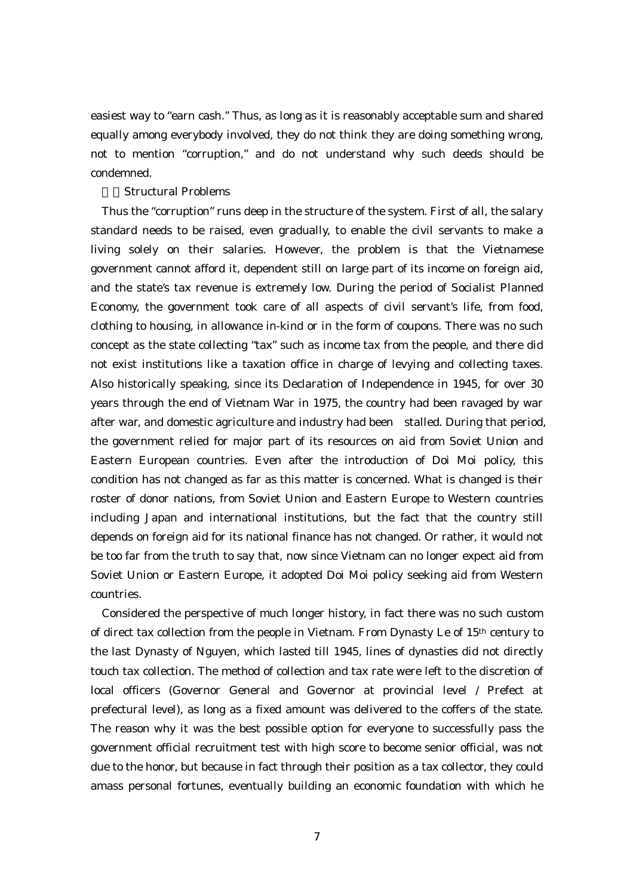easiest way to "earn cash." Thus, as long as it is reasonably acceptable sum and shared equally among everybody involved, they do not think they are doing something wrong, not to mention "corruption," and do not understand why such deeds should be condemned.

# b)Structural Problems

Thus the "corruption" runs deep in the structure of the system. First of all, the salary standard needs to be raised, even gradually, to enable the civil servants to make a living solely on their salaries. However, the problem is that the Vietnamese government cannot afford it, dependent still on large part of its income on foreign aid, and the state's tax revenue is extremely low. During the period of Socialist Planned Economy, the government took care of all aspects of civil servant's life, from food, clothing to housing, in allowance in-kind or in the form of coupons. There was no such concept as the state collecting "tax" such as income tax from the people, and there did not exist institutions like a taxation office in charge of levying and collecting taxes. Also historically speaking, since its Declaration of Independence in 1945, for over 30 years through the end of Vietnam War in 1975, the country had been ravaged by war after war, and domestic agriculture and industry had been stalled. During that period, the government relied for major part of its resources on aid from Soviet Union and Eastern European countries. Even after the introduction of Doi Moi policy, this condition has not changed as far as this matter is concerned. What is changed is their roster of donor nations, from Soviet Union and Eastern Europe to Western countries including Japan and international institutions, but the fact that the country still depends on foreign aid for its national finance has not changed. Or rather, it would not be too far from the truth to say that, now since Vietnam can no longer expect aid from Soviet Union or Eastern Europe, it adopted Doi Moi policy seeking aid from Western countries.

Considered the perspective of much longer history, in fact there was no such custom of direct tax collection from the people in Vietnam. From Dynasty Le of 15th century to the last Dynasty of Nguyen, which lasted till 1945, lines of dynasties did not directly touch tax collection. The method of collection and tax rate were left to the discretion of local officers (Governor General and Governor at provincial level / Prefect at prefectural level), as long as a fixed amount was delivered to the coffers of the state. The reason why it was the best possible option for everyone to successfully pass the government official recruitment test with high score to become senior official, was not due to the honor, but because in fact through their position as a tax collector, they could amass personal fortunes, eventually building an economic foundation with which he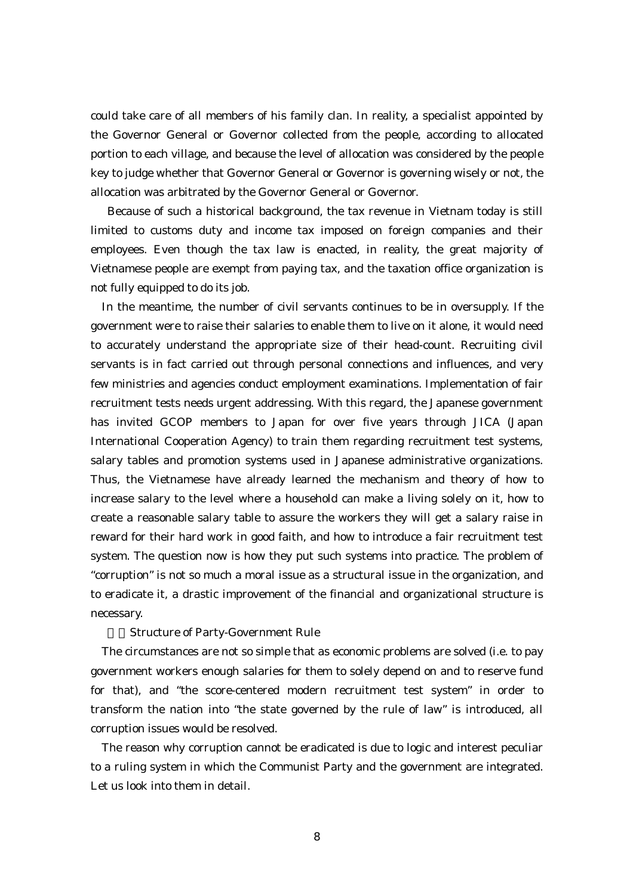could take care of all members of his family clan. In reality, a specialist appointed by the Governor General or Governor collected from the people, according to allocated portion to each village, and because the level of allocation was considered by the people key to judge whether that Governor General or Governor is governing wisely or not, the allocation was arbitrated by the Governor General or Governor.

 Because of such a historical background, the tax revenue in Vietnam today is still limited to customs duty and income tax imposed on foreign companies and their employees. Even though the tax law is enacted, in reality, the great majority of Vietnamese people are exempt from paying tax, and the taxation office organization is not fully equipped to do its job.

In the meantime, the number of civil servants continues to be in oversupply. If the government were to raise their salaries to enable them to live on it alone, it would need to accurately understand the appropriate size of their head-count. Recruiting civil servants is in fact carried out through personal connections and influences, and very few ministries and agencies conduct employment examinations. Implementation of fair recruitment tests needs urgent addressing. With this regard, the Japanese government has invited GCOP members to Japan for over five years through JICA (Japan International Cooperation Agency) to train them regarding recruitment test systems, salary tables and promotion systems used in Japanese administrative organizations. Thus, the Vietnamese have already learned the mechanism and theory of how to increase salary to the level where a household can make a living solely on it, how to create a reasonable salary table to assure the workers they will get a salary raise in reward for their hard work in good faith, and how to introduce a fair recruitment test system. The question now is how they put such systems into practice. The problem of "corruption" is not so much a moral issue as a structural issue in the organization, and to eradicate it, a drastic improvement of the financial and organizational structure is necessary.

## Structure of Party-Government Rule

The circumstances are not so simple that as economic problems are solved (i.e. to pay government workers enough salaries for them to solely depend on and to reserve fund for that), and "the score-centered modern recruitment test system" in order to transform the nation into "the state governed by the rule of law" is introduced, all corruption issues would be resolved.

The reason why corruption cannot be eradicated is due to logic and interest peculiar to a ruling system in which the Communist Party and the government are integrated. Let us look into them in detail.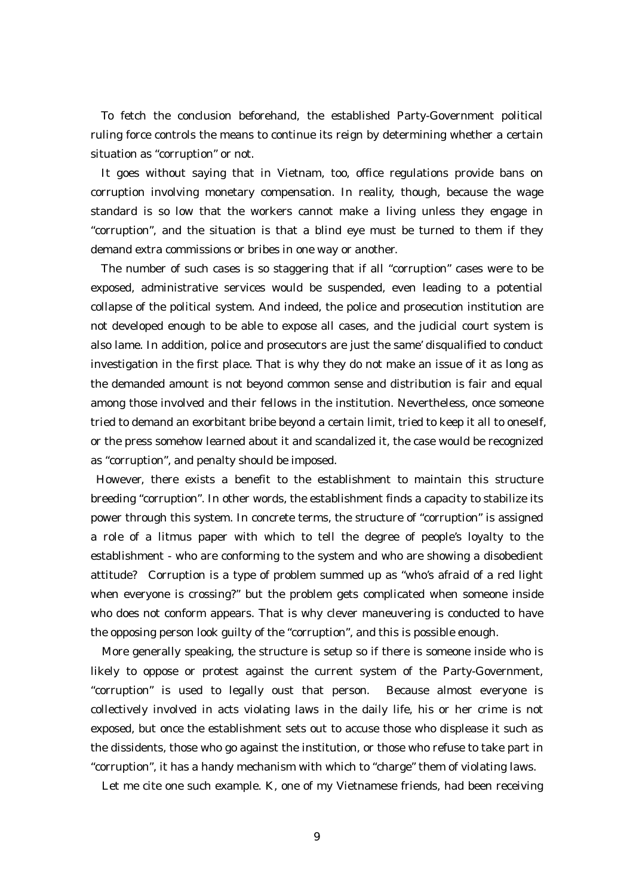To fetch the conclusion beforehand, the established Party-Government political ruling force controls the means to continue its reign by determining whether a certain situation as "corruption" or not.

It goes without saying that in Vietnam, too, office regulations provide bans on corruption involving monetary compensation. In reality, though, because the wage standard is so low that the workers cannot make a living unless they engage in "corruption", and the situation is that a blind eye must be turned to them if they demand extra commissions or bribes in one way or another.

The number of such cases is so staggering that if all "corruption" cases were to be exposed, administrative services would be suspended, even leading to a potential collapse of the political system. And indeed, the police and prosecution institution are not developed enough to be able to expose all cases, and the judicial court system is also lame. In addition, police and prosecutors are just the same' disqualified to conduct investigation in the first place. That is why they do not make an issue of it as long as the demanded amount is not beyond common sense and distribution is fair and equal among those involved and their fellows in the institution. Nevertheless, once someone tried to demand an exorbitant bribe beyond a certain limit, tried to keep it all to oneself, or the press somehow learned about it and scandalized it, the case would be recognized as "corruption", and penalty should be imposed.

 However, there exists a benefit to the establishment to maintain this structure breeding "corruption". In other words, the establishment finds a capacity to stabilize its power through this system. In concrete terms, the structure of "corruption" is assigned a role of a litmus paper with which to tell the degree of people's loyalty to the establishment - who are conforming to the system and who are showing a disobedient attitude? Corruption is a type of problem summed up as "who's afraid of a red light when everyone is crossing?" but the problem gets complicated when someone inside who does not conform appears. That is why clever maneuvering is conducted to have the opposing person look guilty of the "corruption", and this is possible enough.

More generally speaking, the structure is setup so if there is someone inside who is likely to oppose or protest against the current system of the Party-Government, "corruption" is used to legally oust that person. Because almost everyone is collectively involved in acts violating laws in the daily life, his or her crime is not exposed, but once the establishment sets out to accuse those who displease it such as the dissidents, those who go against the institution, or those who refuse to take part in "corruption", it has a handy mechanism with which to "charge" them of violating laws.

Let me cite one such example. K, one of my Vietnamese friends, had been receiving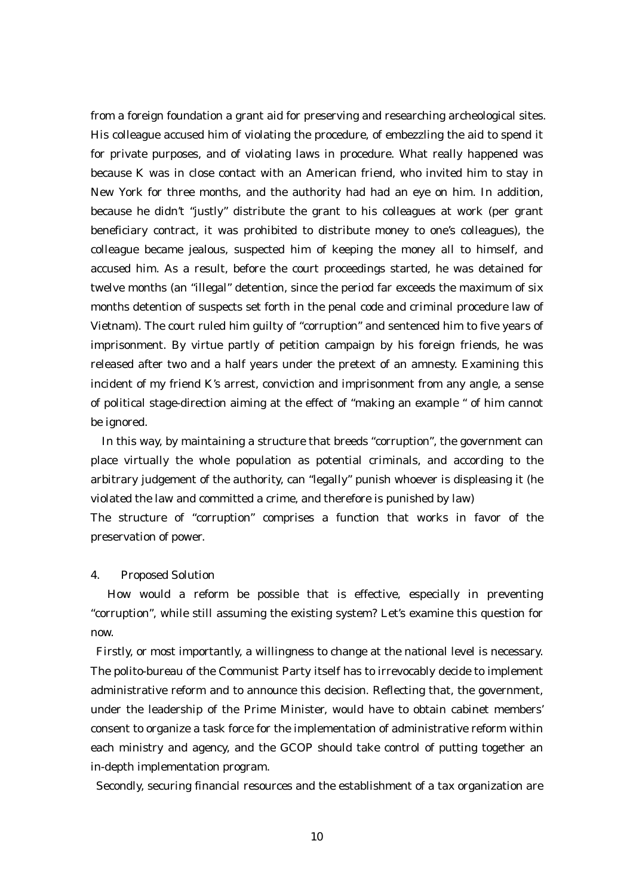from a foreign foundation a grant aid for preserving and researching archeological sites. His colleague accused him of violating the procedure, of embezzling the aid to spend it for private purposes, and of violating laws in procedure. What really happened was because K was in close contact with an American friend, who invited him to stay in New York for three months, and the authority had had an eye on him. In addition, because he didn't "justly" distribute the grant to his colleagues at work (per grant beneficiary contract, it was prohibited to distribute money to one's colleagues), the colleague became jealous, suspected him of keeping the money all to himself, and accused him. As a result, before the court proceedings started, he was detained for twelve months (an "illegal" detention, since the period far exceeds the maximum of six months detention of suspects set forth in the penal code and criminal procedure law of Vietnam). The court ruled him guilty of "corruption" and sentenced him to five years of imprisonment. By virtue partly of petition campaign by his foreign friends, he was released after two and a half years under the pretext of an amnesty. Examining this incident of my friend K's arrest, conviction and imprisonment from any angle, a sense of political stage-direction aiming at the effect of "making an example " of him cannot be ignored.

In this way, by maintaining a structure that breeds "corruption", the government can place virtually the whole population as potential criminals, and according to the arbitrary judgement of the authority, can "legally" punish whoever is displeasing it (he violated the law and committed a crime, and therefore is punished by law)

The structure of "corruption" comprises a function that works in favor of the preservation of power.

## 4. Proposed Solution

 How would a reform be possible that is effective, especially in preventing "corruption", while still assuming the existing system? Let's examine this question for now.

 Firstly, or most importantly, a willingness to change at the national level is necessary. The polito-bureau of the Communist Party itself has to irrevocably decide to implement administrative reform and to announce this decision. Reflecting that, the government, under the leadership of the Prime Minister, would have to obtain cabinet members' consent to organize a task force for the implementation of administrative reform within each ministry and agency, and the GCOP should take control of putting together an in-depth implementation program.

Secondly, securing financial resources and the establishment of a tax organization are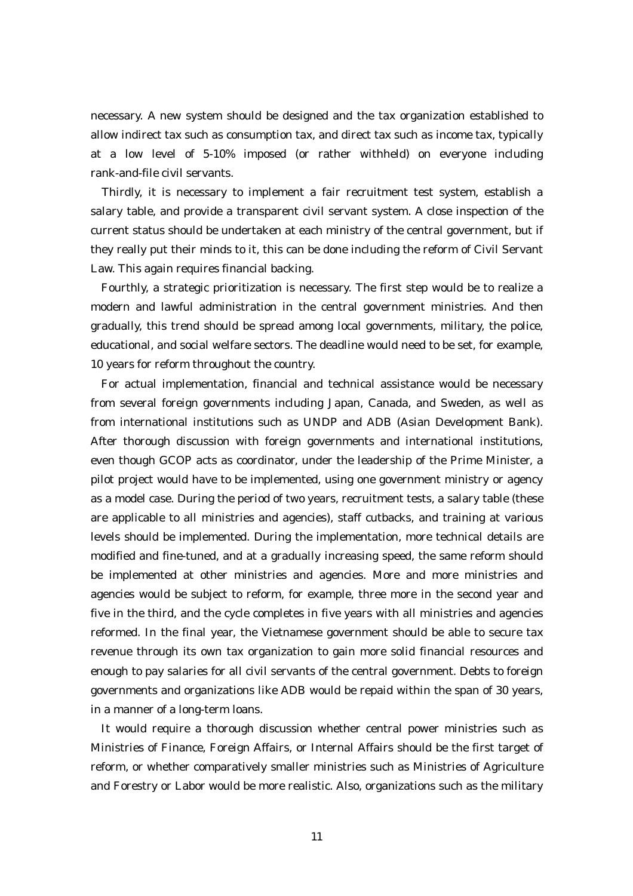necessary. A new system should be designed and the tax organization established to allow indirect tax such as consumption tax, and direct tax such as income tax, typically at a low level of 5-10% imposed (or rather withheld) on everyone including rank-and-file civil servants.

Thirdly, it is necessary to implement a fair recruitment test system, establish a salary table, and provide a transparent civil servant system. A close inspection of the current status should be undertaken at each ministry of the central government, but if they really put their minds to it, this can be done including the reform of Civil Servant Law. This again requires financial backing.

Fourthly, a strategic prioritization is necessary. The first step would be to realize a modern and lawful administration in the central government ministries. And then gradually, this trend should be spread among local governments, military, the police, educational, and social welfare sectors. The deadline would need to be set, for example, 10 years for reform throughout the country.

For actual implementation, financial and technical assistance would be necessary from several foreign governments including Japan, Canada, and Sweden, as well as from international institutions such as UNDP and ADB (Asian Development Bank). After thorough discussion with foreign governments and international institutions, even though GCOP acts as coordinator, under the leadership of the Prime Minister, a pilot project would have to be implemented, using one government ministry or agency as a model case. During the period of two years, recruitment tests, a salary table (these are applicable to all ministries and agencies), staff cutbacks, and training at various levels should be implemented. During the implementation, more technical details are modified and fine-tuned, and at a gradually increasing speed, the same reform should be implemented at other ministries and agencies. More and more ministries and agencies would be subject to reform, for example, three more in the second year and five in the third, and the cycle completes in five years with all ministries and agencies reformed. In the final year, the Vietnamese government should be able to secure tax revenue through its own tax organization to gain more solid financial resources and enough to pay salaries for all civil servants of the central government. Debts to foreign governments and organizations like ADB would be repaid within the span of 30 years, in a manner of a long-term loans.

It would require a thorough discussion whether central power ministries such as Ministries of Finance, Foreign Affairs, or Internal Affairs should be the first target of reform, or whether comparatively smaller ministries such as Ministries of Agriculture and Forestry or Labor would be more realistic. Also, organizations such as the military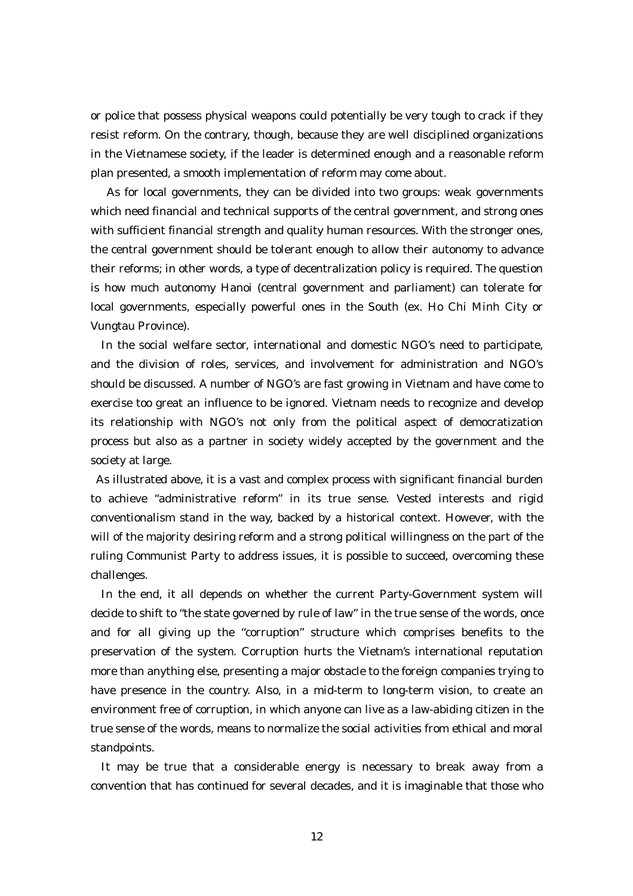or police that possess physical weapons could potentially be very tough to crack if they resist reform. On the contrary, though, because they are well disciplined organizations in the Vietnamese society, if the leader is determined enough and a reasonable reform plan presented, a smooth implementation of reform may come about.

 As for local governments, they can be divided into two groups: weak governments which need financial and technical supports of the central government, and strong ones with sufficient financial strength and quality human resources. With the stronger ones, the central government should be tolerant enough to allow their autonomy to advance their reforms; in other words, a type of decentralization policy is required. The question is how much autonomy Hanoi (central government and parliament) can tolerate for local governments, especially powerful ones in the South (ex. Ho Chi Minh City or Vungtau Province).

In the social welfare sector, international and domestic NGO's need to participate, and the division of roles, services, and involvement for administration and NGO's should be discussed. A number of NGO's are fast growing in Vietnam and have come to exercise too great an influence to be ignored. Vietnam needs to recognize and develop its relationship with NGO's not only from the political aspect of democratization process but also as a partner in society widely accepted by the government and the society at large.

 As illustrated above, it is a vast and complex process with significant financial burden to achieve "administrative reform" in its true sense. Vested interests and rigid conventionalism stand in the way, backed by a historical context. However, with the will of the majority desiring reform and a strong political willingness on the part of the ruling Communist Party to address issues, it is possible to succeed, overcoming these challenges.

In the end, it all depends on whether the current Party-Government system will decide to shift to "the state governed by rule of law" in the true sense of the words, once and for all giving up the "corruption" structure which comprises benefits to the preservation of the system. Corruption hurts the Vietnam's international reputation more than anything else, presenting a major obstacle to the foreign companies trying to have presence in the country. Also, in a mid-term to long-term vision, to create an environment free of corruption, in which anyone can live as a law-abiding citizen in the true sense of the words, means to normalize the social activities from ethical and moral standpoints.

It may be true that a considerable energy is necessary to break away from a convention that has continued for several decades, and it is imaginable that those who